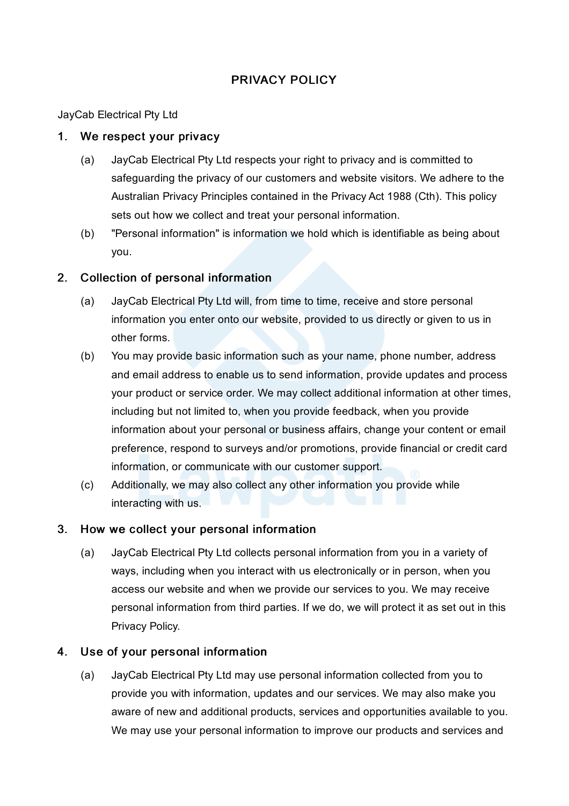# PRIVACY POLICY

JayCab Electrical Pty Ltd

### 1. We respect your privacy

- (a) JayCab Electrical Pty Ltd respects your right to privacy and is committed to safeguarding the privacy of our customers and website visitors. We adhere to the Australian Privacy Principles contained in the Privacy Act 1988 (Cth). This policy sets out how we collect and treat your personal information.
- (b) "Personal information" is information we hold which is identifiable as being about you.

## 2. Collection of personal information

- (a) JayCab Electrical Pty Ltd will, from time to time, receive and store personal information you enter onto our website, provided to us directly or given to us in other forms.
- (b) You may provide basic information such as your name, phone number, address and email address to enable us to send information, provide updates and process your product or service order. We may collect additional information at other times, including but not limited to, when you provide feedback, when you provide information about your personal or business affairs, change your content or email preference, respond to surveys and/or promotions, provide financial or credit card information, or communicate with our customer support.
- (c) Additionally, we may also collect any other information you provide while interacting with us.

## 3. How we collect your personal information

(a) JayCab Electrical Pty Ltd collects personal information from you in a variety of ways, including when you interact with us electronically or in person, when you access our website and when we provide our services to you. We may receive personal information from third parties. If we do, we will protect it as set out in this Privacy Policy.

## 4. Use of your personal information

(a) JayCab Electrical Pty Ltd may use personal information collected from you to provide you with information, updates and our services. We may also make you aware of new and additional products, services and opportunities available to you. We may use your personal information to improve our products and services and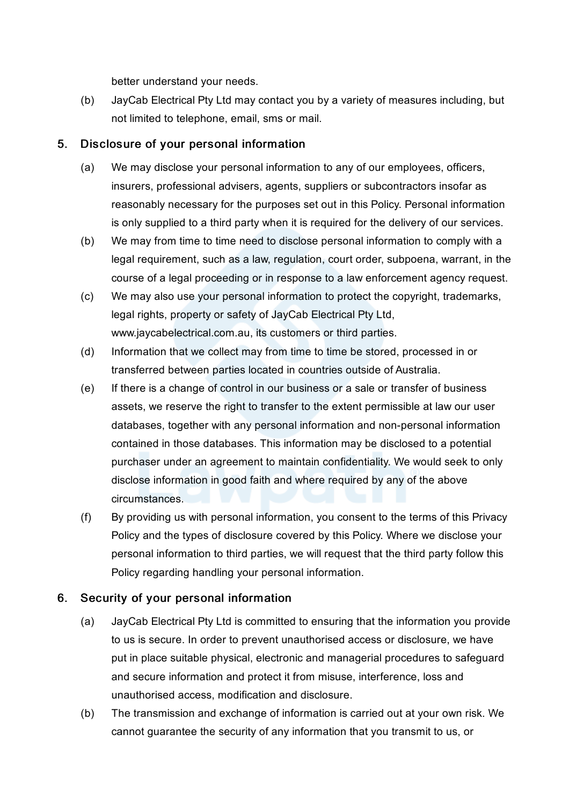better understand your needs.

(b) JayCab Electrical Pty Ltd may contact you by a variety of measures including, but not limited to telephone, email, sms or mail.

### 5. Disclosure of your personal information

- (a) We may disclose your personal information to any of our employees, officers, insurers, professional advisers, agents, suppliers or subcontractors insofar as reasonably necessary for the purposes set out in this Policy. Personal information is only supplied to a third party when it is required for the delivery of our services.
- (b) We may from time to time need to disclose personal information to comply with a legal requirement, such as a law, regulation, court order, subpoena, warrant, in the course of a legal proceeding or in response to a law enforcement agency request.
- (c) We may also use your personal information to protect the copyright, trademarks, legal rights, property or safety of JayCab Electrical Pty Ltd, www.jaycabelectrical.com.au, its customers or third parties.
- (d) Information that we collect may from time to time be stored, processed in or transferred between parties located in countries outside of Australia.
- (e) If there is a change of control in our business or a sale or transfer of business assets, we reserve the right to transfer to the extent permissible at law our user databases, together with any personal information and non-personal information contained in those databases. This information may be disclosed to a potential purchaser under an agreement to maintain confidentiality. We would seek to only disclose information in good faith and where required by any of the above circumstances.
- (f) By providing us with personal information, you consent to the terms of this Privacy Policy and the types of disclosure covered by this Policy. Where we disclose your personal information to third parties, we will request that the third party follow this Policy regarding handling your personal information.

## 6. Security of your personal information

- (a) JayCab Electrical Pty Ltd is committed to ensuring that the information you provide to us is secure. In order to prevent unauthorised access or disclosure, we have put in place suitable physical, electronic and managerial procedures to safeguard and secure information and protect it from misuse, interference, loss and unauthorised access, modification and disclosure.
- (b) The transmission and exchange of information is carried out at your own risk. We cannot guarantee the security of any information that you transmit to us, or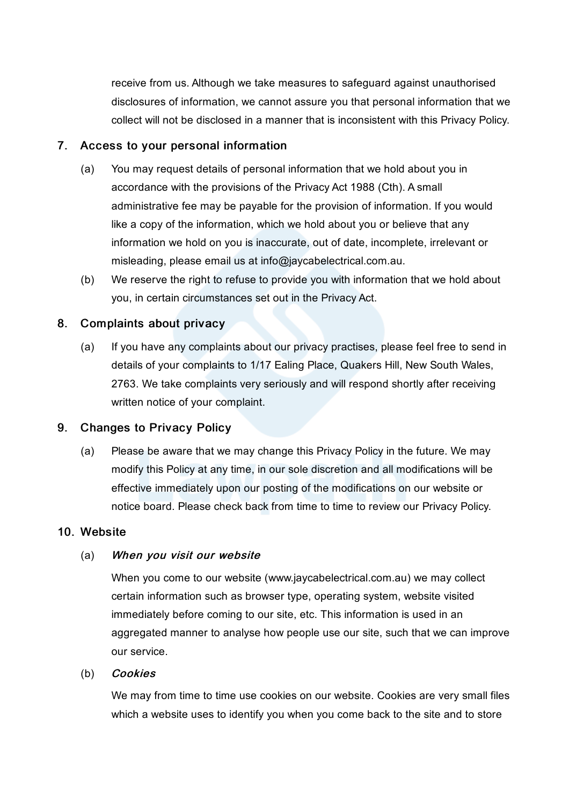receive from us. Although we take measures to safeguard against unauthorised disclosures of information, we cannot assure you that personal information that we collect will not be disclosed in a manner that is inconsistent with this Privacy Policy.

### 7. Access to your personal information

- (a) You may request details of personal information that we hold about you in accordance with the provisions of the Privacy Act 1988 (Cth). A small administrative fee may be payable for the provision of information. If you would like a copy of the information, which we hold about you or believe that any information we hold on you is inaccurate, out of date, incomplete, irrelevant or misleading, please email us at info@jaycabelectrical.com.au.
- (b) We reserve the right to refuse to provide you with information that we hold about you, in certain circumstances set out in the Privacy Act.

### 8. Complaints about privacy

(a) If you have any complaints about our privacy practises, please feel free to send in details of your complaints to 1/17 Ealing Place, Quakers Hill, New South Wales, 2763. We take complaints very seriously and will respond shortly after receiving written notice of your complaint.

### 9. Changes to Privacy Policy

(a) Please be aware that we may change this Privacy Policy in the future. We may modify this Policy at any time, in our sole discretion and all modifications will be effective immediately upon our posting of the modifications on our website or notice board. Please check back from time to time to review our Privacy Policy.

#### 10. Website

#### (a) When you visit our website

When you come to our website (www.jaycabelectrical.com.au) we may collect certain information such as browser type, operating system, website visited immediately before coming to our site, etc. This information is used in an aggregated manner to analyse how people use our site, such that we can improve our service.

#### (b) Cookies

We may from time to time use cookies on our website. Cookies are very small files which a website uses to identify you when you come back to the site and to store